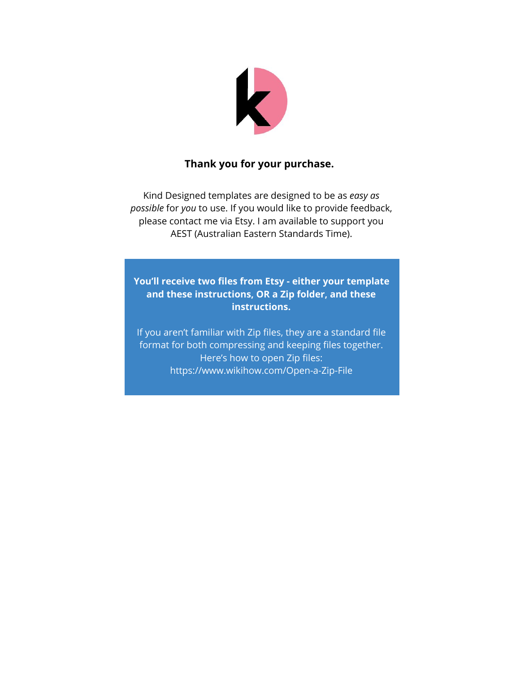

#### **Thank you for your purchase.**

Kind Designed templates are designed to be as *easy as possible* for *you* to use. If you would like to provide feedback, please contact me via Etsy. I am available to support you AEST (Australian Eastern Standards Time).

**You'll receive two files from Etsy - either your template and these instructions, OR a Zip folder, and these instructions.**

If you aren't familiar with Zip files, they are a standard file format for both compressing and keeping files together. Here's how to open Zip files: https://www.wikihow.com/Open-a-Zip-File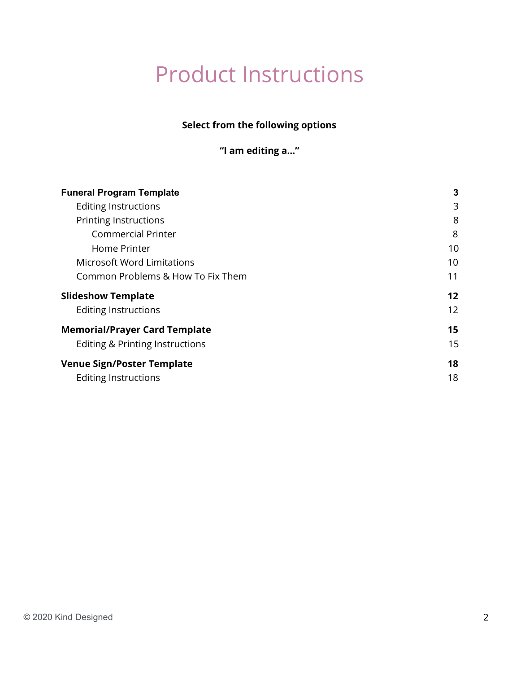# Product Instructions

### **Select from the following options**

**"I am editing a…"**

| <b>Funeral Program Template</b>      | 3  |
|--------------------------------------|----|
| Editing Instructions                 | 3  |
| <b>Printing Instructions</b>         | 8  |
| <b>Commercial Printer</b>            | 8  |
| Home Printer                         | 10 |
| <b>Microsoft Word Limitations</b>    | 10 |
| Common Problems & How To Fix Them    | 11 |
| <b>Slideshow Template</b>            | 12 |
| Editing Instructions                 | 12 |
| <b>Memorial/Prayer Card Template</b> | 15 |
| Editing & Printing Instructions      | 15 |
| <b>Venue Sign/Poster Template</b>    | 18 |
| Editing Instructions                 | 18 |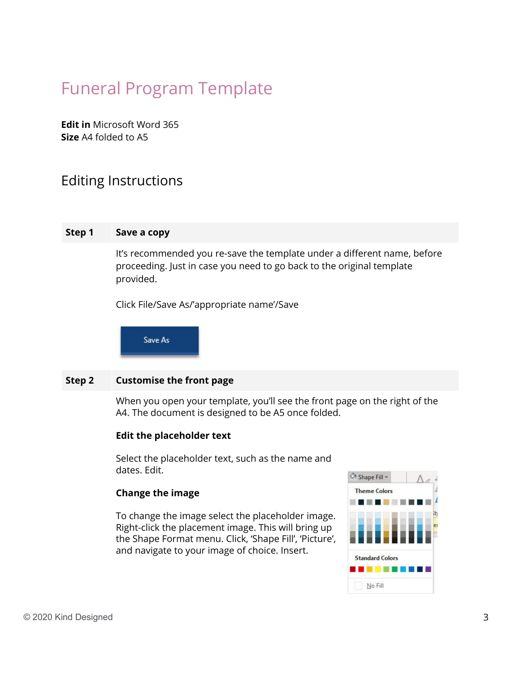## <span id="page-2-0"></span>Funeral Program Template

**Edit in** Microsoft Word 365 **Size** A4 folded to A5

## <span id="page-2-1"></span>Editing Instructions

#### **Step 1 Save a copy**

It's recommended you re-save the template under a different name, before proceeding. Just in case you need to go back to the original template provided.

Click File/Save As/'appropriate name'/Save

Save As

#### **Step 2 Customise the front page**

When you open your template, you'll see the front page on the right of the A4. The document is designed to be A5 once folded.

#### **Edit the placeholder text**

Select the placeholder text, such as the name and dates. Edit.

#### **Change the image**

To change the image select the placeholder image. Right-click the placement image. This will bring up the Shape Format menu. Click, 'Shape Fill', 'Picture', and navigate to your image of choice. Insert.

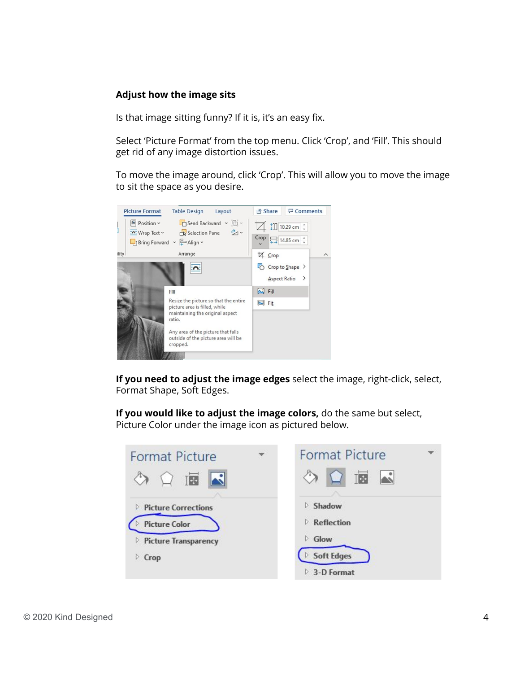#### **Adjust how the image sits**

Is that image sitting funny? If it is, it's an easy fix.

Select 'Picture Format' from the top menu. Click 'Crop', and 'Fill'. This should get rid of any image distortion issues.

To move the image around, click 'Crop'. This will allow you to move the image to sit the space as you desire.



**If you need to adjust the image edges** select the image, right-click, select, Format Shape, Soft Edges.

**If you would like to adjust the image colors,** do the same but select, Picture Color under the image icon as pictured below.

| <b>Format Picture</b>                              | ۳ | <b>Format Picture</b>           |  |
|----------------------------------------------------|---|---------------------------------|--|
| 画                                                  |   | THE                             |  |
| <b>Picture Corrections</b><br><b>Picture Color</b> |   | Shadow<br>Reflection            |  |
| <b>Picture Transparency</b><br>⊵                   |   | Glow<br>D.<br><b>Soft Edges</b> |  |
| Crop                                               |   | 3-D Format                      |  |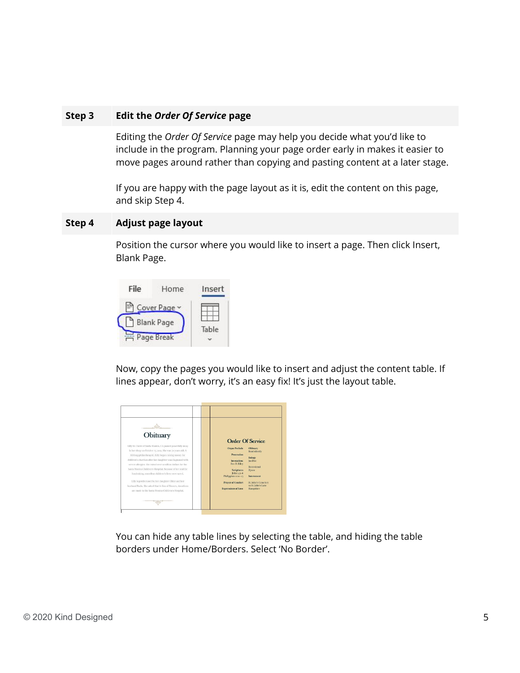#### **Step 3 Edit the** *Order Of Service* **page**

Editing the *Order Of Service* page may help you decide what you'd like to include in the program. Planning your page order early in makes it easier to move pages around rather than copying and pasting content at a later stage.

If you are happy with the page layout as it is, edit the content on this page, and skip Step 4.

#### **Step 4 Adjust page layout**

Position the cursor where you would like to insert a page. Then click Insert, Blank Page.



Now, copy the pages you would like to insert and adjust the content table. If lines appear, don't worry, it's an easy fix! It's just the layout table.

| Obituary<br>Lilly St. Claire of Santa Monica. CA massed peacefully away.<br>in her sleep on October 15, 2010. She was 70 years old, A<br>lifelong philanthropist, Lilly began raising money for<br>children's charities after her daughter was diagnosed with<br>severe allergies. She raised over a million dollars for the<br>Santa Monica Children's Hospital, Because of her zeal for<br>fundraising, countless children's lives were saved.<br>Lilly is predeceased by her daughter Chloe and her<br>husband Paolo. She asked that in lieu of flowers, donations<br>are made to the Santa Monica Children's Hospital. | <b>Organ Prelade</b><br>Procession<br>Invocation:<br>Rev D. Riley<br><b>Serintures</b><br>John 14:1-6<br>Philippians 1:20-23<br><b>Prayer of Comfort</b><br><b>Expressions of Love</b> | <b>Order Of Service</b><br><b>Obituary</b><br>Read silently<br><b>Enlogy</b><br>lan Doc<br>Receptional<br><b>Hymn</b><br>Internment<br><b>St. John's Cemetery</b><br>to St. John's Lane<br>Hampshire |
|----------------------------------------------------------------------------------------------------------------------------------------------------------------------------------------------------------------------------------------------------------------------------------------------------------------------------------------------------------------------------------------------------------------------------------------------------------------------------------------------------------------------------------------------------------------------------------------------------------------------------|----------------------------------------------------------------------------------------------------------------------------------------------------------------------------------------|------------------------------------------------------------------------------------------------------------------------------------------------------------------------------------------------------|
|----------------------------------------------------------------------------------------------------------------------------------------------------------------------------------------------------------------------------------------------------------------------------------------------------------------------------------------------------------------------------------------------------------------------------------------------------------------------------------------------------------------------------------------------------------------------------------------------------------------------------|----------------------------------------------------------------------------------------------------------------------------------------------------------------------------------------|------------------------------------------------------------------------------------------------------------------------------------------------------------------------------------------------------|

You can hide any table lines by selecting the table, and hiding the table borders under Home/Borders. Select 'No Border'.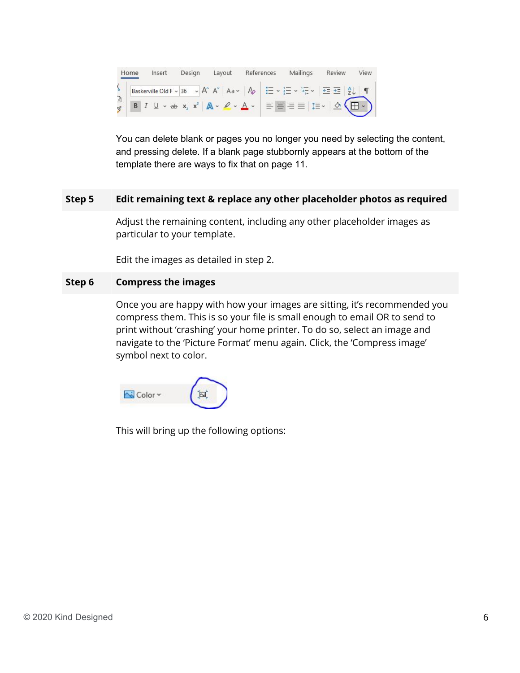| Home | Insert | Design | Layout | References | Mailings                                                                                                                                                                                                                                             | Review | View |
|------|--------|--------|--------|------------|------------------------------------------------------------------------------------------------------------------------------------------------------------------------------------------------------------------------------------------------------|--------|------|
|      |        |        |        |            |                                                                                                                                                                                                                                                      |        |      |
|      |        |        |        |            | S<br>Baskerville Old F ~ 36 ~ A^ A <sup>*</sup>   Aa ~   A <sup>6</sup>   $\Xi$ ~ $\Xi$ ~ $\Xi$ ~   $\Xi$ $\Xi$   $2\downarrow$   $\P$<br>B $I \perp \sim$ ab $x_2 x^2$   A ~ $\ell \sim A$ ~   $\Xi$ $\Xi$ $\Xi$   $\Xi$ $\sim$   $\Delta$ $\Delta$ |        |      |

You can delete blank or pages you no longer you need by selecting the content, and pressing delete. If a blank page stubbornly appears at the bottom of the template there are ways to fix that on page 11.

#### **Step 5 Edit remaining text & replace any other placeholder photos as required**

Adjust the remaining content, including any other placeholder images as particular to your template.

Edit the images as detailed in step 2.

#### **Step 6 Compress the images**

Once you are happy with how your images are sitting, it's recommended you compress them. This is so your file is small enough to email OR to send to print without 'crashing' your home printer. To do so, select an image and navigate to the 'Picture Format' menu again. Click, the 'Compress image' symbol next to color.



This will bring up the following options: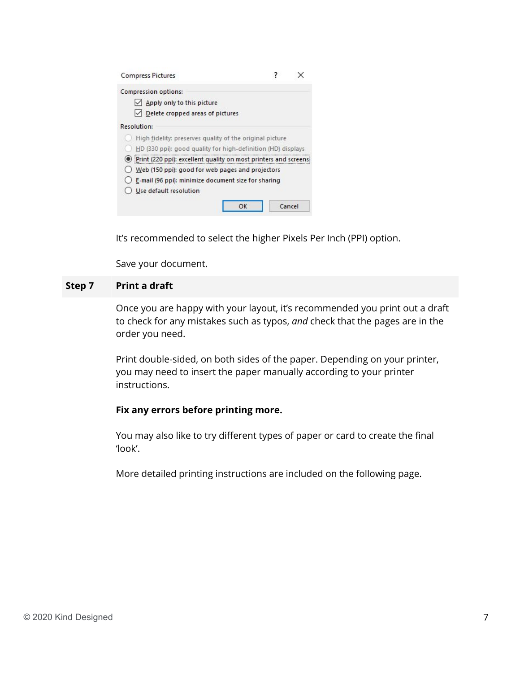| <b>Compress Pictures</b>                                             |        |
|----------------------------------------------------------------------|--------|
| Compression options:                                                 |        |
| Apply only to this picture                                           |        |
| $\vee$ Delete cropped areas of pictures                              |        |
| Resolution:                                                          |        |
| High fidelity: preserves quality of the original picture             |        |
| HD (330 ppi): good quality for high-definition (HD) displays         |        |
| (e) Print (220 ppi): excellent quality on most printers and screens: |        |
| Web (150 ppi): good for web pages and projectors                     |        |
| () E-mail (96 ppi): minimize document size for sharing               |        |
| Use default resolution                                               |        |
| OK                                                                   | Cancel |

It's recommended to select the higher Pixels Per Inch (PPI) option.

Save your document.

#### **Step 7 Print a draft**

Once you are happy with your layout, it's recommended you print out a draft to check for any mistakes such as typos, *and* check that the pages are in the order you need.

Print double-sided, on both sides of the paper. Depending on your printer, you may need to insert the paper manually according to your printer instructions.

#### **Fix any errors before printing more.**

You may also like to try different types of paper or card to create the final 'look'.

More detailed printing instructions are included on the following page.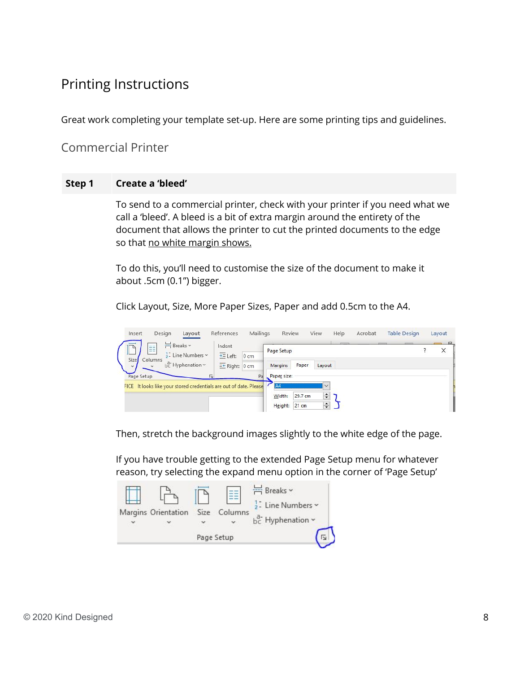## <span id="page-7-0"></span>Printing Instructions

<span id="page-7-1"></span>Great work completing your template set-up. Here are some printing tips and guidelines.

Commercial Printer

#### **Step 1 Create a 'bleed'**

To send to a commercial printer, check with your printer if you need what we call a 'bleed'. A bleed is a bit of extra margin around the entirety of the document that allows the printer to cut the printed documents to the edge so that no white margin shows.

To do this, you'll need to customise the size of the document to make it about .5cm (0.1") bigger.

Click Layout, Size, More Paper Sizes, Paper and add 0.5cm to the A4.



Then, stretch the background images slightly to the white edge of the page.

If you have trouble getting to the extended Page Setup menu for whatever reason, try selecting the expand menu option in the corner of 'Page Setup'

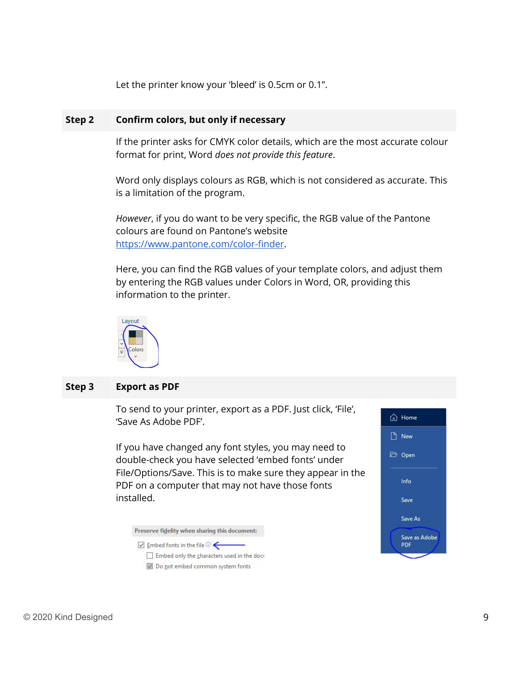Let the printer know your 'bleed' is 0.5cm or 0.1".

#### **Step 2 Confirm colors, but only if necessary**

If the printer asks for CMYK color details, which are the most accurate colour format for print, Word *does not provide this feature*.

Word only displays colours as RGB, which is not considered as accurate. This is a limitation of the program.

*However*, if you do want to be very specific, the RGB value of the Pantone colours are found on Pantone's website <https://www.pantone.com/color-finder>.

Here, you can find the RGB values of your template colors, and adjust them by entering the RGB values under Colors in Word, OR, providing this information to the printer.



#### **Step 3 Export as PDF**

To send to your printer, export as a PDF. Just click, 'File', 'Save As Adobe PDF'.

If you have changed any font styles, you may need to double-check you have selected 'embed fonts' under File/Options/Save. This is to make sure they appear in the PDF on a computer that may not have those fonts installed.

Preserve fidelity when sharing this document:

 $\sqrt{ }$  Embed fonts in the file  $\odot$ 

Embed only the characters used in the doct Do not embed common system fonts

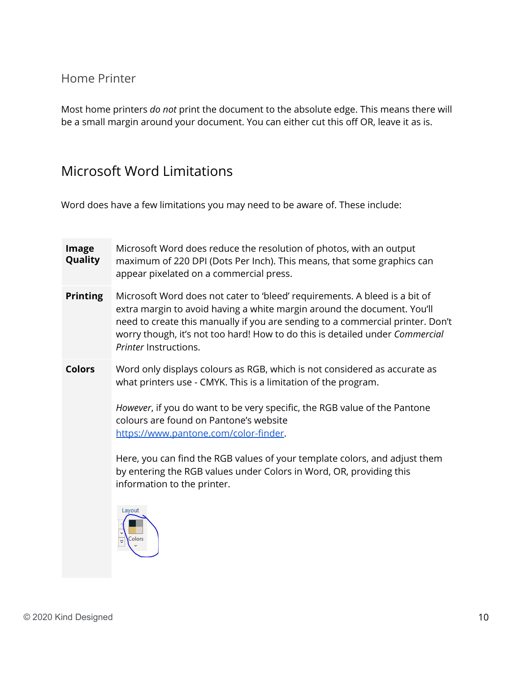### <span id="page-9-0"></span>Home Printer

<span id="page-9-1"></span>Most home printers *do not* print the document to the absolute edge. This means there will be a small margin around your document. You can either cut this off OR, leave it as is.

## Microsoft Word Limitations

Word does have a few limitations you may need to be aware of. These include:

| Image<br>Quality | Microsoft Word does reduce the resolution of photos, with an output<br>maximum of 220 DPI (Dots Per Inch). This means, that some graphics can<br>appear pixelated on a commercial press.                                                                                                                                                                                                                                                                                                                  |
|------------------|-----------------------------------------------------------------------------------------------------------------------------------------------------------------------------------------------------------------------------------------------------------------------------------------------------------------------------------------------------------------------------------------------------------------------------------------------------------------------------------------------------------|
| <b>Printing</b>  | Microsoft Word does not cater to 'bleed' requirements. A bleed is a bit of<br>extra margin to avoid having a white margin around the document. You'll<br>need to create this manually if you are sending to a commercial printer. Don't<br>worry though, it's not too hard! How to do this is detailed under Commercial<br>Printer Instructions.                                                                                                                                                          |
| <b>Colors</b>    | Word only displays colours as RGB, which is not considered as accurate as<br>what printers use - CMYK. This is a limitation of the program.<br>However, if you do want to be very specific, the RGB value of the Pantone<br>colours are found on Pantone's website<br>https://www.pantone.com/color-finder.<br>Here, you can find the RGB values of your template colors, and adjust them<br>by entering the RGB values under Colors in Word, OR, providing this<br>information to the printer.<br>Layout |
|                  | colors                                                                                                                                                                                                                                                                                                                                                                                                                                                                                                    |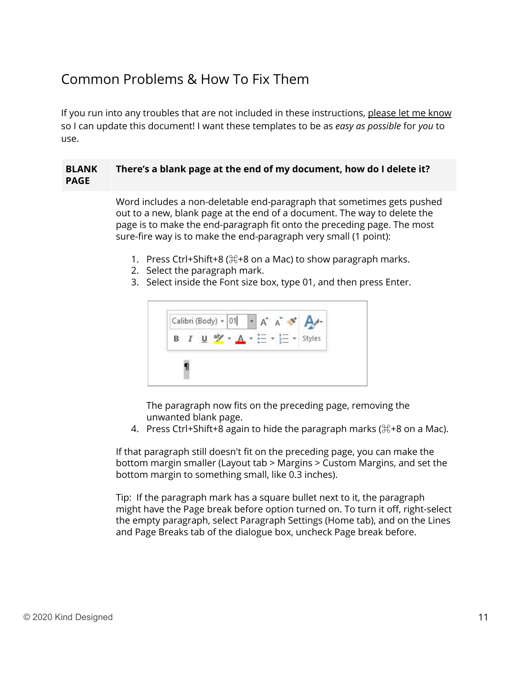## <span id="page-10-0"></span>Common Problems & How To Fix Them

If you run into any troubles that are not included in these instructions, please let me know so I can update this document! I want these templates to be as *easy as possible* for *you* to use.

#### **BLANK PAGE There's a blank page at the end of my document, how do I delete it?**

Word includes a non-deletable end-paragraph that sometimes gets pushed out to a new, blank page at the end of a document. The way to delete the page is to make the end-paragraph fit onto the preceding page. The most sure-fire way is to make the end-paragraph very small (1 point):

- 1. Press Ctrl+Shift+8 ( $\#$ +8 on a Mac) to show paragraph marks.
- 2. Select the paragraph mark.
- 3. Select inside the Font size box, type 01, and then press Enter.



The paragraph now fits on the preceding page, removing the unwanted blank page.

4. Press Ctrl+Shift+8 again to hide the paragraph marks ( $\#$ +8 on a Mac).

If that paragraph still doesn't fit on the preceding page, you can make the bottom margin smaller (Layout tab > Margins > Custom Margins, and set the bottom margin to something small, like 0.3 inches).

Tip: If the paragraph mark has a square bullet next to it, the paragraph might have the Page break before option turned on. To turn it off, right-select the empty paragraph, select Paragraph Settings (Home tab), and on the Lines and Page Breaks tab of the dialogue box, uncheck Page break before.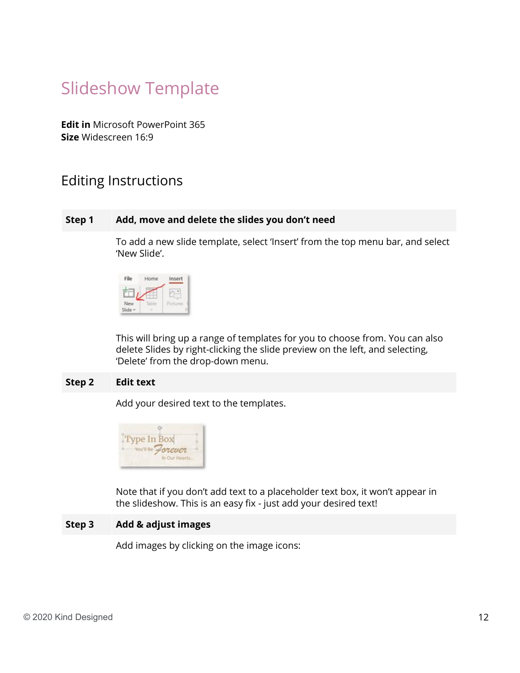## <span id="page-11-0"></span>Slideshow Template

**Edit in** Microsoft PowerPoint 365 **Size** Widescreen 16:9

### <span id="page-11-1"></span>Editing Instructions

#### **Step 1 Add, move and delete the slides you don't need**

To add a new slide template, select 'Insert' from the top menu bar, and select 'New Slide'.



This will bring up a range of templates for you to choose from. You can also delete Slides by right-clicking the slide preview on the left, and selecting, 'Delete' from the drop-down menu.

#### **Step 2 Edit text**

Add your desired text to the templates.



Note that if you don't add text to a placeholder text box, it won't appear in the slideshow. This is an easy fix - just add your desired text!

#### **Step 3 Add & adjust images**

Add images by clicking on the image icons: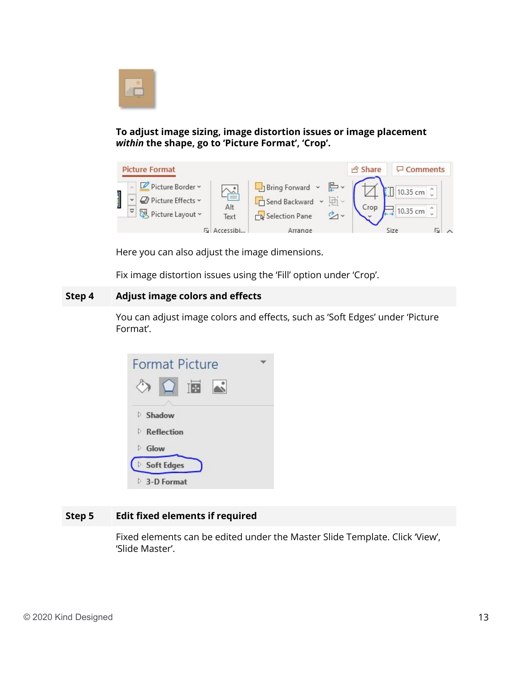

**To adjust image sizing, image distortion issues or image placement** *within* **the shape, go to 'Picture Format', 'Crop'.**



Here you can also adjust the image dimensions.

Fix image distortion issues using the 'Fill' option under 'Crop'.

#### **Step 4 Adjust image colors and effects**

You can adjust image colors and effects, such as 'Soft Edges' under 'Picture Format'.



#### **Step 5 Edit fixed elements if required**

Fixed elements can be edited under the Master Slide Template. Click 'View', 'Slide Master'.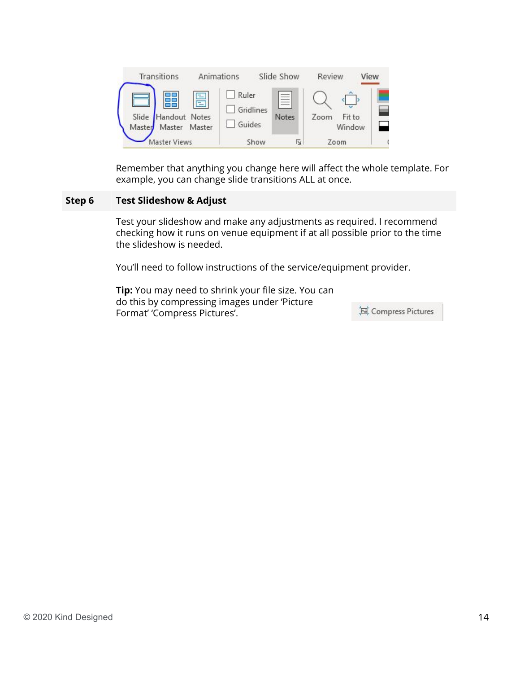| Transitions                                            | Animations                   | Slide Show        | Review                   | View |
|--------------------------------------------------------|------------------------------|-------------------|--------------------------|------|
| 름<br>Slide Handout Notes<br>Master<br>Master<br>Master | Ruler<br>Gridlines<br>Guides | $\equiv$<br>Notes | Zoom<br>Fit to<br>Window |      |
| laster Views                                           | Show                         | Γý                | Zoom                     |      |

Remember that anything you change here will affect the whole template. For example, you can change slide transitions ALL at once.

#### **Step 6 Test Slideshow & Adjust**

Test your slideshow and make any adjustments as required. I recommend checking how it runs on venue equipment if at all possible prior to the time the slideshow is needed.

You'll need to follow instructions of the service/equipment provider.

**Tip:** You may need to shrink your file size. You can do this by compressing images under 'Picture Format' 'Compress Pictures'.

Compress Pictures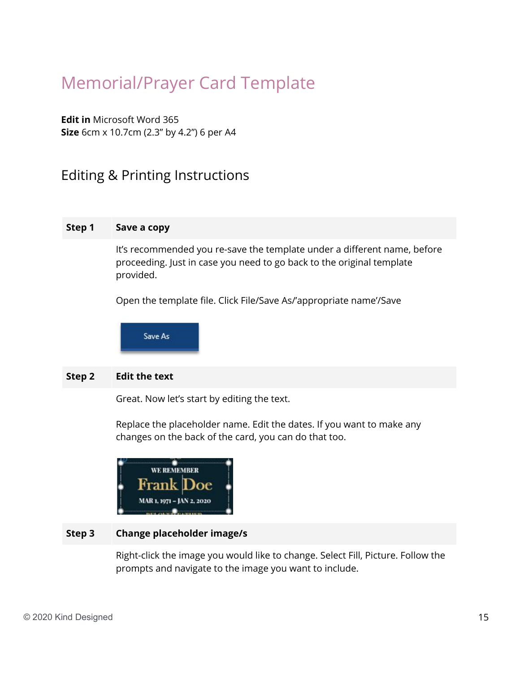## <span id="page-14-0"></span>Memorial/Prayer Card Template

**Edit in** Microsoft Word 365 **Size** 6cm x 10.7cm (2.3" by 4.2") 6 per A4

## <span id="page-14-1"></span>Editing & Printing Instructions

#### **Step 1 Save a copy**

It's recommended you re-save the template under a different name, before proceeding. Just in case you need to go back to the original template provided.

Open the template file. Click File/Save As/'appropriate name'/Save

Save As

#### **Step 2 Edit the text**

Great. Now let's start by editing the text.

Replace the placeholder name. Edit the dates. If you want to make any changes on the back of the card, you can do that too.



#### **Step 3 Change placeholder image/s**

Right-click the image you would like to change. Select Fill, Picture. Follow the prompts and navigate to the image you want to include.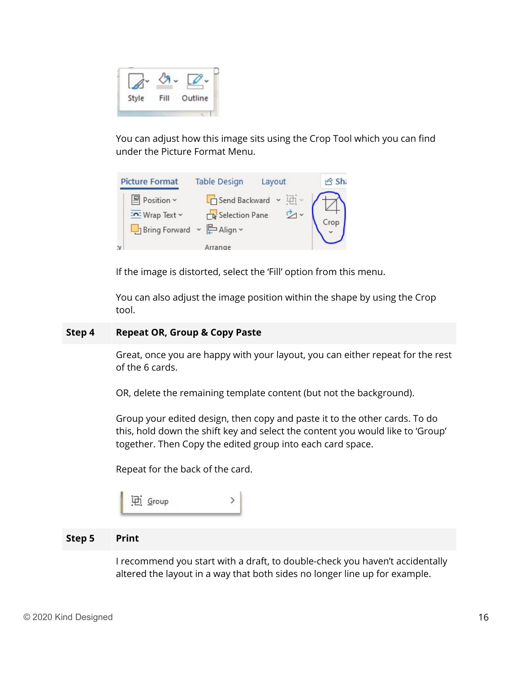

You can adjust how this image sits using the Crop Tool which you can find under the Picture Format Menu.

|    | <b>Picture Format</b>                                       | <b>Table Design</b> | Layout                                                 | යි Shi |
|----|-------------------------------------------------------------|---------------------|--------------------------------------------------------|--------|
|    | 图 Position ~<br>Mrap Text ~<br>La Bring Forward ~ 문 Align ~ | Selection Pane      | $\Box$ Send Backward $\vee$ $\Box$ $\vee$<br><u>পৈ</u> |        |
| İV |                                                             | Arrange             |                                                        |        |

If the image is distorted, select the 'Fill' option from this menu.

You can also adjust the image position within the shape by using the Crop tool.

#### **Step 4 Repeat OR, Group & Copy Paste**

Great, once you are happy with your layout, you can either repeat for the rest of the 6 cards.

OR, delete the remaining template content (but not the background).

Group your edited design, then copy and paste it to the other cards. To do this, hold down the shift key and select the content you would like to 'Group' together. Then Copy the edited group into each card space.

Repeat for the back of the card.

#### **Step 5 Print**

I recommend you start with a draft, to double-check you haven't accidentally altered the layout in a way that both sides no longer line up for example.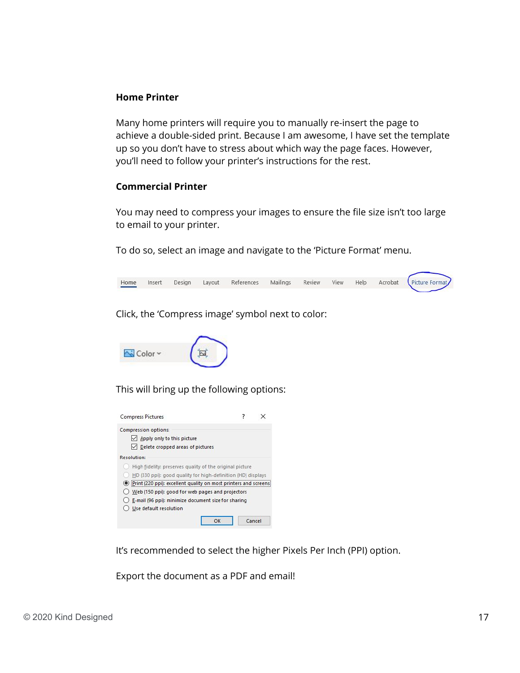#### **Home Printer**

Many home printers will require you to manually re-insert the page to achieve a double-sided print. Because I am awesome, I have set the template up so you don't have to stress about which way the page faces. However, you'll need to follow your printer's instructions for the rest.

#### **Commercial Printer**

You may need to compress your images to ensure the file size isn't too large to email to your printer.

To do so, select an image and navigate to the 'Picture Format' menu.



Click, the 'Compress image' symbol next to color:



This will bring up the following options:



It's recommended to select the higher Pixels Per Inch (PPI) option.

Export the document as a PDF and email!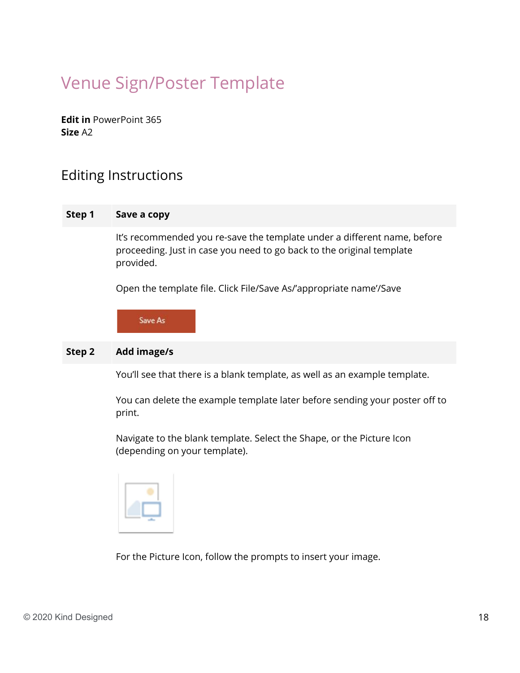## <span id="page-17-0"></span>Venue Sign/Poster Template

**Edit in** PowerPoint 365 **Size** A2

## <span id="page-17-1"></span>Editing Instructions

#### **Step 1 Save a copy**

It's recommended you re-save the template under a different name, before proceeding. Just in case you need to go back to the original template provided.

Open the template file. Click File/Save As/'appropriate name'/Save

Save As

#### **Step 2 Add image/s**

You'll see that there is a blank template, as well as an example template.

You can delete the example template later before sending your poster off to print.

Navigate to the blank template. Select the Shape, or the Picture Icon (depending on your template).



For the Picture Icon, follow the prompts to insert your image.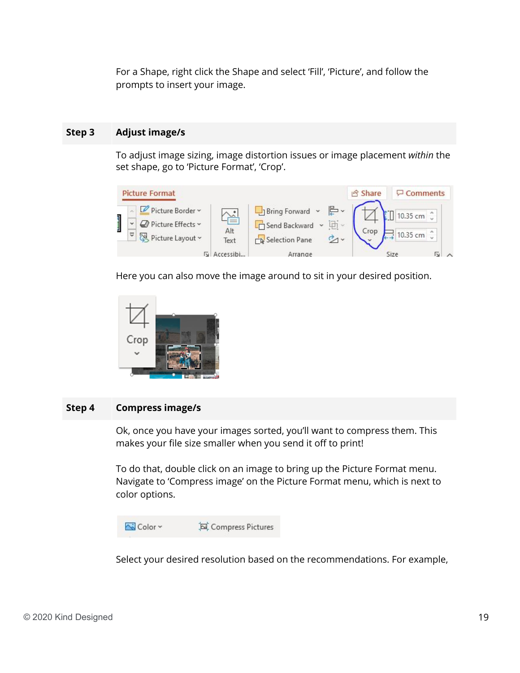For a Shape, right click the Shape and select 'Fill', 'Picture', and follow the prompts to insert your image.

#### **Step 3 Adjust image/s**

To adjust image sizing, image distortion issues or image placement *within* the set shape, go to 'Picture Format', 'Crop'.



Here you can also move the image around to sit in your desired position.



#### **Step 4 Compress image/s**

Ok, once you have your images sorted, you'll want to compress them. This makes your file size smaller when you send it off to print!

To do that, double click on an image to bring up the Picture Format menu. Navigate to 'Compress image' on the Picture Format menu, which is next to color options.



Select your desired resolution based on the recommendations. For example,